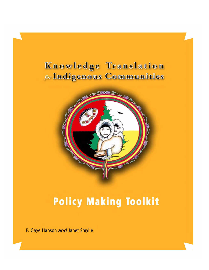# Knowledge Translation for Indigenous Communities



# **Policy Making Toolkit**

P. Gaye Hanson and Janet Smylie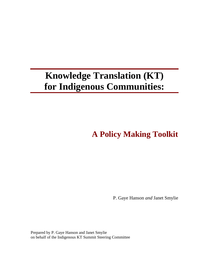# **Knowledge Translation (KT) for Indigenous Communities:**

**A Policy Making Toolkit** 

P. Gaye Hanson *and* Janet Smylie

Prepared by P. Gaye Hanson and Janet Smylie on behalf of the Indigenous KT Summit Steering Committee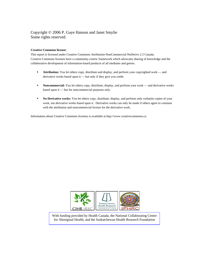#### Copyright © 2006 P. Gaye Hanson and Janet Smylie Some rights reserved.

#### **Creative Commons license:**

This report is licensed under Creative Commons Attribution-NonCommercial-NoDerivs 2.5 Canada. Creative Commons licenses have a community-centric framework which advocates sharing of knowledge and the collaborative development of information-based products of all mediums and genres.

- **Attribution:** You let others copy, distribute and display, and perform your copyrighted work and derivative works based upon it — but only if they give you credit.
- **Noncommercial:** You let others copy, distribute, display, and perform your work and derivative works based upon it — but for noncommercial purposes only.
- **No Derivative works:** You let others copy, distribute, display, and perform only verbatim copies of your work, not derivative works based upon it. Derivative works can only be made if others agree to continue with the attribution and noncommercial license for the derivative work.

Information about Creative Commons licenses is available at http://www.creativecommons.ca



With funding provided by Health Canada, the National Collaborating Centre for Aboriginal Health, and the Saskatchewan Health Research Foundation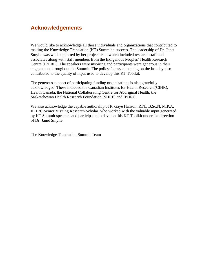# **Acknowledgements**

We would like to acknowledge all those individuals and organizations that contributed to making the Knowledge Translation (KT) Summit a success. The leadership of Dr. Janet Smylie was well supported by her project team which included research staff and associates along with staff members from the Indigenous Peoples' Health Research Centre (IPHRC). The speakers were inspiring and participants were generous in their engagement throughout the Summit. The policy focussed meeting on the last day also contributed to the quality of input used to develop this KT Toolkit.

The generous support of participating funding organizations is also gratefully acknowledged. These included the Canadian Institutes for Health Research (CIHR), Health Canada, the National Collaborating Centre for Aboriginal Health, the Saskatchewan Health Research Foundation (SHRF) and IPHRC.

We also acknowledge the capable authorship of P. Gaye Hanson, R.N., B.Sc.N, M.P.A. IPHRC Senior Visiting Research Scholar, who worked with the valuable input generated by KT Summit speakers and participants to develop this KT Toolkit under the direction of Dr. Janet Smylie.

The Knowledge Translation Summit Team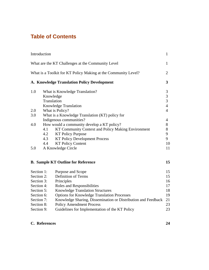# **Table of Contents**

| Introduction                                                                                                        |                                            |                                                               | $\mathbf{1}$        |
|---------------------------------------------------------------------------------------------------------------------|--------------------------------------------|---------------------------------------------------------------|---------------------|
| What are the KT Challenges at the Community Level<br>What is a Toolkit for KT Policy Making at the Community Level? |                                            |                                                               | 1<br>$\overline{2}$ |
|                                                                                                                     |                                            |                                                               |                     |
| 1.0                                                                                                                 |                                            | What is Knowledge Translation?                                | $\mathfrak{Z}$      |
|                                                                                                                     | Knowledge                                  |                                                               | $\overline{3}$      |
|                                                                                                                     | Translation                                |                                                               | 3                   |
|                                                                                                                     |                                            | <b>Knowledge Translation</b>                                  | $\overline{4}$      |
| 2.0                                                                                                                 |                                            | What is Policy?                                               | $\overline{4}$      |
| 3.0                                                                                                                 |                                            | What is a Knowledge Translation (KT) policy for               |                     |
|                                                                                                                     | Indigenous communities?                    |                                                               | $\overline{4}$      |
| 4.0                                                                                                                 | How would a community develop a KT policy? |                                                               | 8                   |
|                                                                                                                     | 4.1                                        | KT Community Context and Policy Making Environment            | 8                   |
|                                                                                                                     | 4.2                                        | <b>KT Policy Purpose</b>                                      | 9                   |
|                                                                                                                     | 4.3                                        | <b>KT Policy Development Process</b>                          | 9                   |
|                                                                                                                     | 4.4                                        | <b>KT Policy Content</b>                                      | 10                  |
| 5.0                                                                                                                 |                                            | A Knowledge Circle                                            | 11                  |
|                                                                                                                     |                                            | <b>B. Sample KT Outline for Reference</b>                     | 15                  |
| Section 1:                                                                                                          |                                            | Purpose and Scope                                             | 15                  |
| Section 2:                                                                                                          |                                            | Definition of Terms                                           | 15                  |
| Section 3:                                                                                                          |                                            | Principles                                                    | 16                  |
| Section 4:                                                                                                          |                                            | Roles and Responsibilities                                    | 17                  |
| Section 5:                                                                                                          |                                            | <b>Knowledge Translation Structures</b>                       | 18                  |
| Section 6:                                                                                                          |                                            | <b>Options for Knowledge Translation Processes</b>            | 19                  |
| Section 7:                                                                                                          |                                            | Knowledge Sharing, Dissemination or Distribution and Feedback | 21                  |
| Section 8:                                                                                                          |                                            | <b>Policy Amendment Process</b>                               | 23                  |
| Section 9:                                                                                                          |                                            | Guidelines for Implementation of the KT Policy                | 23                  |

### **C. References 24**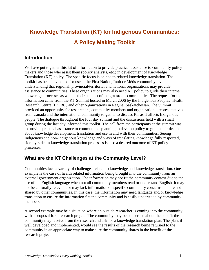# **Knowledge Translation (KT) for Indigenous Communities: A Policy Making Toolkit**

# **Introduction**

We have put together this kit of information to provide practical assistance to community policy makers and those who assist them (policy analysts, etc.) in development of Knowledge Translation (KT) policy. The specific focus is on health related knowledge translation. The toolkit has been developed for use at the First Nation, Inuit or Métis community level, understanding that regional, provincial/territorial and national organizations may provide assistance to communities. These organizations may also need KT policy to guide their internal knowledge processes as well as their support of the grassroots communities. The request for this information came from the KT Summit hosted in March 2006 by the Indigenous Peoples' Health Research Centre (IPHRC) and other organizations in Regina, Saskatchewan. The Summit provided an opportunity for researchers, community members and organizational representatives from Canada and the international community to gather to discuss KT as it affects Indigenous people. The dialogue throughout the four day summit and the discussions held with a small group during the last day informed this toolkit. The call from the participants at the summit was to provide practical assistance to communities planning to develop policy to guide their decisions about knowledge development, translation and use in and with their communities. Seeing Indigenous and non-Indigenous knowledge and ways of translating knowledge fully respected, side-by-side, in knowledge translation processes is also a desired outcome of KT policy processes.

# **What are the KT Challenges at the Community Level?**

Communities face a variety of challenges related to knowledge and knowledge translation. One example is the case of health related information being brought into the community from an external government organization. The information may not fit the community context due to the use of the English language when not all community members read or understand English, it may not be culturally relevant, or may lack information on specific community concerns that are not shared by other communities. In this case, the information may need language and/or knowledge translation to ensure the information fits the community and is easily understood by community members.

A second example may be a situation where an outside researcher is coming into the community with a proposal for a research project. The community may be concerned about the benefit the community may receive from the research and ask for a knowledge translation plan. The plan, if well developed and implemented, would see the results of the research being returned to the community in an appropriate way to make sure the community shares in the benefit of the research project.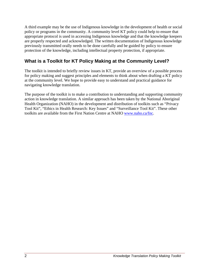A third example may be the use of Indigenous knowledge in the development of health or social policy or programs in the community. A community level KT policy could help to ensure that appropriate protocol is used in accessing Indigenous knowledge and that the knowledge keepers are properly respected and acknowledged. The written documentation of Indigenous knowledge previously transmitted orally needs to be done carefully and be guided by policy to ensure protection of the knowledge, including intellectual property protection, if appropriate.

# **What is a Toolkit for KT Policy Making at the Community Level?**

The toolkit is intended to briefly review issues in KT, provide an overview of a possible process for policy making and suggest principles and elements to think about when drafting a KT policy at the community level. We hope to provide easy to understand and practical guidance for navigating knowledge translation.

The purpose of the toolkit is to make a contribution to understanding and supporting community action in knowledge translation. A similar approach has been taken by the National Aboriginal Health Organization (NAHO) in the development and distribution of toolkits such as "Privacy Tool Kit", "Ethics in Health Research: Key Issues" and "Surveillance Tool Kit". These other toolkits are available from the First Nation Centre at NAHO [www.naho.ca/fnc.](http://www.naho.ca/fnc)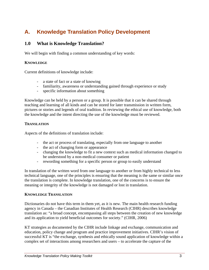# **A. Knowledge Translation Policy Development**

# **1.0 What is Knowledge Translation?**

We will begin with finding a common understanding of key words:

#### **KNOWLEDGE**

Current definitions of knowledge include:

- a state of fact or a state of knowing
- familiarity, awareness or understanding gained through experience or study
- specific information about something

Knowledge can be held by a person or a group. It is possible that it can be shared through teaching and learning of all kinds and can be stored for later transmission in written form, pictures or stories and legends of oral tradition. In reviewing the ethical use of knowledge, both the knowledge and the intent directing the use of the knowledge must be reviewed.

#### **TRANSLATION**

Aspects of the definitions of translation include:

- the act or process of translating, especially from one language to another
- the act of changing form or appearance
- changing the knowledge to fit a new context such as medical information changed to be understood by a non-medical consumer or patient
- rewording something for a specific person or group to easily understand

In translation of the written word from one language to another or from highly technical to less technical language, one of the principles is ensuring that the meaning is the same or similar once the translation is complete. In knowledge translation, one of the concerns is to ensure the meaning or integrity of the knowledge is not damaged or lost in translation.

#### **KNOWLEDGE TRANSLATION**

Dictionaries do not have this term in them yet, as it is new. The main health research funding agency in Canada – the Canadian Institutes of Health Research (CIHR) describes knowledge translation as: "a broad concept, encompassing all steps between the creation of new knowledge and its application to yield beneficial outcomes for society." (CIHR, 2006)

KT strategies as documented by the CIHR include linkage and exchange, communication and education, policy change and program and practice improvement initiatives. CIHR's vision of successful KT is "the exchange, synthesis and ethically sound application of knowledge within a complex set of interactions among researchers and users – to accelerate the capture of the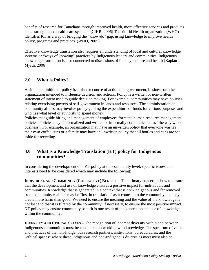benefits of research for Canadians through improved health, more effective services and products and a strengthened health care system." (CIHR, 2006) The World Health organization (WHO) identifies KT as a way of bridging the "know-do" gap, using knowledge to improve health policy, programs and practices. (WHO, 2005)

Effective knowledge translation also requires an understanding of local and cultural knowledge systems or "ways of knowing" practices by Indigenous leaders and communities. Indigenous knowledge translation is also connected to discussions of literacy, culture and health (Kaplan-Myrth, 2006)

# **2.0 What is Policy?**

A simple definition of policy is a plan or course of action of a government, business or other organization intended to influence decision and actions. Policy is a written or non-written statement of intent used to guide decision making. For example, communities may have policies relating exercising powers of self-government in lands and resources. The administration of community affairs may involve policy guiding the expenditure of funds for various purposes and who has what level of authority to spend money.

Policies that guide hiring and management of employees form the human resource management policies. Policies may be formalized and written or informally communicated as "the way we do business". For example, an organization may have an unwritten policy that everyone washes their own coffee cups or a family may have an unwritten policy that all bottles and cans are set aside for recycling.

# **3.0 What is a Knowledge Translation (KT) policy for Indigenous communities?**

In considering the development of a KT policy at the community level, specific issues and interests need to be considered which may include the following:

**INDIVIDUAL AND COMMUNITY (COLLECTIVE) BENEFIT** – The primary concern is how to ensure that the development and use of knowledge ensures a positive impact for individuals and communities. Knowledge that is generated in a context that is non-Indigenous and far removed from community realities may be "lost in translation" as it comes into the community and may create more harm than good. We need to ensure the meaning and the value of the knowledge is not lost and that it is filtered by the community, if necessary, to ensure the most positive impact. KT policy may ensure community benefit is one result of the generation and use of knowledge within the community.

**DIVERSITY AND ETHICAL SPACES – The recognition of inherent diversity within and between** Indigenous communities must be considered in working with knowledge. The spectrum of values and practices of the non-Indigenous research partners, institutions, bureaucracies; and the "ethical spaces" where these Indigenous and non-Indigenous diversities meet must also be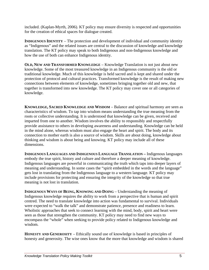included. (Kaplan-Myrth, 2006). KT policy may ensure diversity is respected and opportunities for the creation of ethical spaces for dialogue created.

**INDIGENOUS IDENTITY** – The protection and development of individual and community identity as "Indigenous" and the related issues are central to the discussion of knowledge and knowledge translation. The KT policy may speak to both Indigenous and non-Indigenous knowledge and how the use of both can enhance Indigenous identity.

**OLD, NEW AND TRANSFORMED KNOWLEDGE** – Knowledge Translation is not just about new knowledge. Some of the most treasured knowledge in an Indigenous community is the old or traditional knowledge. Much of this knowledge is held sacred and is kept and shared under the protection of protocol and cultural practices. Transformed knowledge is the result of making new connections between elements of knowledge, sometimes bringing together old and new, that together is transformed into new knowledge. The KT policy may cover one or all categories of knowledge.

**KNOWLEDGE, SACRED KNOWLEDGE AND WISDOM** – Balance and spiritual harmony are seen as characteristics of wisdom. To tap into wisdom means understanding the true meaning from the roots or collective understanding. It is understood that knowledge can be given, received and imparted from one to another. Wisdom involves the ability to responsibly and respectfully provide assistance to others in developing awareness and understanding. Knowledge can be held in the mind alone, whereas wisdom must also engage the heart and spirit. The body and its connection to mother earth is also a source of wisdom. Skills are about doing, knowledge about thinking and wisdom is about being and knowing. KT policy may include all of these dimensions.

**INDIGENOUS LANGUAGES AND INDIGENOUS LANGUAGE TRANSLATION –** Indigenous languages embody the true spirit, history and culture and therefore a deeper meaning of knowledge. Indigenous languages are powerful in communicating the truth which taps into deeper layers of meaning and understanding. In some cases the "spirit embedded in the words and the language" gets lost in translating from the Indigenous language to a western language. KT policy may include provisions for protecting and ensuring the integrity of the knowledge so that true meaning is not lost in translation.

**INDIGENOUS WAYS OF BEING, KNOWING AND DOING – Understanding the meaning of** Indigenous knowledge requires the ability to work from a perspective that is human and spirit centred. The need to translate knowledge into action was fundamental to survival. Individuals were expected to "walk the talk" and demonstrate patience, presence and readiness to learn. Wholistic approaches that seek to connect learning with the mind, body, spirit and heart were seen as those that strengthen the community. KT policy may need to find new ways to encompass the "whole" when seeking to provide policy related to Indigenous knowledge and wisdom.

**HONESTY AND GENEROSITY** – Ethically sound use of knowledge is based in principles of honesty and generosity. The wise ones know that the more that knowledge and wisdom is shared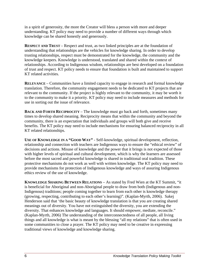in a spirit of generosity, the more the Creator will bless a person with more and deeper understanding. KT policy may need to provide a number of different ways through which knowledge can be shared honestly and generously.

**RESPECT AND TRUST** – Respect and trust, as two linked principles are at the foundation of understanding that relationships are the vehicles for knowledge sharing. In order to develop trusting relationships, respect must be demonstrated for the knowledge, the community and the knowledge keepers. Knowledge is understood, translated and shared within the context of relationships. According to Indigenous wisdom, relationships are best developed on a foundation of trust and respect. KT policy needs to ensure that foundation is built and maintained to support KT related activities.

**RELEVANCE** – Communities have a limited capacity to engage in research and formal knowledge translation. Therefore, the community engagement needs to be dedicated to KT projects that are relevant to the community. If the project is highly relevant to the community, it may be worth it to the community to make it a priority. KT policy may need to include measures and methods for use in sorting out the issue of relevance.

**BACK AND FORTH RECIPROCITY** – The knowledge must go back and forth, sometimes many times to develop shared meaning. Reciprocity means that within the community and beyond the community, there is an expectation that individuals and groups will both give and receive benefits. The KT policy may need to include mechanisms for ensuring balanced reciprocity in all KT related relationships.

**USE OF KNOWLEDGE IN A "GOOD WAY"** - Self-knowledge, spiritual development, reflection, relationship and connection with teachers are Indigenous ways to ensure the "ethical review" of decisions and actions. Misuse of knowledge and the power that it brings is not expected of those with higher levels of spiritual and cultural development, which is why the learners are assessed before the most sacred and powerful knowledge is shared in traditional oral tradition. These protective mechanisms do not work as well with written knowledge. The KT policy may need to provide mechanisms for protection of Indigenous knowledge and ways of assuring Indigenous ethics review of the use of knowledge.

**KNOWLEDGE SHARING BETWEEN RELATIONS** – As stated by Fred Wien at the KT Summit, "it is beneficial for Aboriginal and non-Aboriginal people to draw from both (Indigenous and non-Indigenous) traditions; people coming together to learn from each other is knowledge therapy (growing, respecting, contributing to each other's learning)". (Kaplan-Myrth, 2006). Sakej Henderson said that 'the basic beauty of knowledge translation is that you are creating shared meanings out of diversity. You have not extinguished the diversity, you are extending the diversity. That enhances knowledge and languages. It should empower, mediate, reconcile." (Kaplan-Myrth, 2006) The understanding of the interconnectedness of all people, all living things and all knowledge is what is meant by the blessing "all my relations" that is often used in some communities to close a prayer. The KT policy may need to be creative in expressing traditional views of knowledge and knowledge sharing.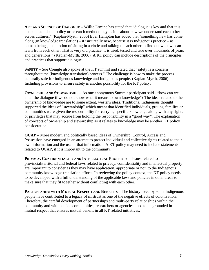**ART AND SCIENCE OF DIALOGUE** – Willie Ermine has stated that "dialogue is key and that it is not so much about policy or research methodology as it is about how we understand each other across cultures." (Kaplan-Myrth, 2006) Eber Hampton has added that "something new has come along (in knowledge translation) – it isn't really new, because it is Indigenous practice – as human beings, that notion of sitting in a circle and talking to each other to find out what we can learn from each other. That is very old practice, it is tried, tested and true over thousands of years and generations." (Kaplan-Myrth, 2006) A KT policy can include descriptions of the principles and practices that support dialogue.

**SAFETY** – Sue Crengle also spoke at the KT summit and stated that "safety is a concern throughout the (knowledge translation) process." The challenge is how to make the process culturally safe for Indigenous knowledge and Indigenous people. (Kaplan-Myrth, 2006) Including provisions to ensure safety is another possibility for the KT policy.

**OWNERSHIP AND STEWARDSHIP** – As one anonymous Summit participant said - "how can we enter the dialogue if we do not know what it means to own knowledge"? The ideas related to the ownership of knowledge are to some extent, western ideas. Traditional Indigenous thought supported the ideas of "stewardship" which meant that identified individuals, groups, families or communities were given the responsibility for carrying specific knowledge along with any rights or privileges that may accrue from holding the responsibility in a "good way". The explanation of concepts of ownership and stewardship as it relates to knowledge may be another KT policy consideration.

**OCAP** – More modern and politically based ideas of Ownership, Control, Access and Possession have emerged in an attempt to protect individual and collective rights related to their own information and the use of that information. A KT policy may need to include statements related to OCAP, if it is important to the community.

**PRIVACY, CONFIDENTIALITY AND INTELLECTUAL PROPERTY** – Issues related to provincial/territorial and federal laws related to privacy, confidentiality and intellectual property are important to consider as they may have application, appropriate or not, to the Indigenous community knowledge translation efforts. In reviewing the policy context, the KT policy needs to be developed with a full understanding of the applicable laws and policies in other areas to make sure that they fit together without conflicting with each other.

**PARTNERSHIPS WITH MUTUAL RESPECT AND BENEFITS – The history lived by some Indigenous** people have contributed to a legacy of mistrust as one of the negative effects of colonization. Therefore, the careful development of partnerships and multi-party relationships within the community and with outside communities, researchers or agencies need to be grounded in mutual respect that ensures mutual benefit in all KT related initiatives.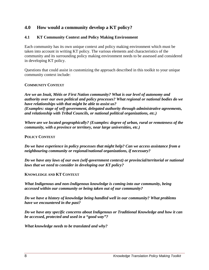# **4.0 How would a community develop a KT policy?**

#### **4.1 KT Community Context and Policy Making Environment**

Each community has its own unique context and policy making environment which must be taken into account in writing KT policy. The various elements and characteristics of the community and its surrounding policy making environment needs to be assessed and considered in developing KT policy.

Questions that could assist in customizing the approach described in this toolkit to your unique community context include:

#### **COMMUNITY CONTEXT**

*Are we an Inuit, Métis or First Nation community? What is our level of autonomy and authority over our own political and policy processes? What regional or national bodies do we have relationships with that might be able to assist us? (Examples: stage of self-government, delegated authority through administrative agreements, and relationship with Tribal Councils, or national political organizations, etc.)* 

*Where are we located geographically? (Examples: degree of urban, rural or remoteness of the community, with a province or territory, near large universities, etc.)* 

#### **POLICY CONTEXT**

*Do we have experience in policy processes that might help? Can we access assistance from a neighbouring community or regional/national organizations, if necessary?* 

*Do we have any laws of our own (self-government context) or provincial/territorial or national laws that we need to consider in developing our KT policy?* 

#### **KNOWLEDGE AND KT CONTEXT**

*What Indigenous and non-Indigenous knowledge is coming into our community, being accessed within our community or being taken out of our community?* 

*Do we have a history of knowledge being handled well in our community? What problems have we encountered in the past?* 

*Do we have any specific concerns about Indigenous or Traditional Knowledge and how it can be accessed, protected and used in a "good way"?* 

*What knowledge needs to be translated and why?*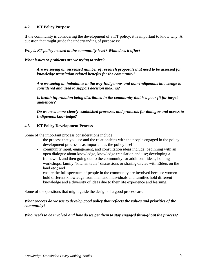#### **4.2 KT Policy Purpose**

If the community is considering the development of a KT policy, it is important to know why. A question that might guide the understanding of purpose is:

#### *Why is KT policy needed at the community level? What does it offer?*

*What issues or problems are we trying to solve?* 

*Are we seeing an increased number of research proposals that need to be assessed for knowledge translation related benefits for the community?* 

*Are we seeing an imbalance in the way Indigenous and non-Indigenous knowledge is considered and used to support decision making?* 

*Is health information being distributed in the community that is a poor fit for target audiences?* 

*Do we need more clearly established processes and protocols for dialogue and access to Indigenous knowledge?* 

#### **4.3 KT Policy Development Process**

Some of the important process considerations include:

- the process that you use and the relationships with the people engaged in the policy development process is as important as the policy itself;
- community input, engagement, and consultation ideas include: beginning with an open dialogue about knowledge, knowledge translation and use; developing a framework and then going out to the community for additional ideas; holding workshops, family "kitchen table" discussions or sharing circles with Elders on the land etc.; and
- ensure the full spectrum of people in the community are involved because women hold different knowledge from men and individuals and families hold different knowledge and a diversity of ideas due to their life experience and learning.

Some of the questions that might guide the design of a good process are:

#### *What process do we use to develop good policy that reflects the values and priorities of the community?*

#### *Who needs to be involved and how do we get them to stay engaged throughout the process?*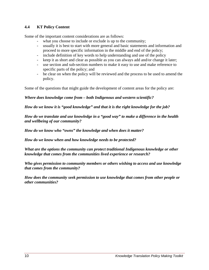#### **4.4 KT Policy Content**

Some of the important content considerations are as follows:

- what you choose to include or exclude is up to the community;
- usually it is best to start with more general and basic statements and information and proceed to more specific information in the middle and end of the policy;
- include definition of key words to help understanding and use of the policy
- keep it as short and clear as possible as you can always add and/or change it later;
- use section and sub-section numbers to make it easy to use and make reference to specific parts of the policy; and
- be clear on when the policy will be reviewed and the process to be used to amend the policy.

Some of the questions that might guide the development of content areas for the policy are:

#### *Where does knowledge come from – both Indigenous and western scientific?*

*How do we know it is "good knowledge" and that it is the right knowledge for the job?* 

*How do we translate and use knowledge in a "good way" to make a difference in the health and wellbeing of our community?* 

*How do we know who "owns" the knowledge and when does it matter?* 

*How do we know when and how knowledge needs to be protected?* 

*What are the options the community can protect traditional Indigenous knowledge or other knowledge that comes from the communities lived experience or research?* 

*Who gives permission to community members or others wishing to access and use knowledge that comes from the community?* 

*How does the community seek permission to use knowledge that comes from other people or other communities?*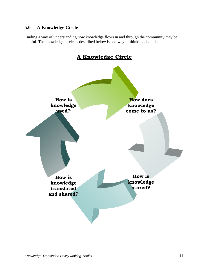# **5.0 A Knowledge Circle**

Finding a way of understanding how knowledge flows in and through the community may be helpful. The knowledge circle as described below is one way of thinking about it.

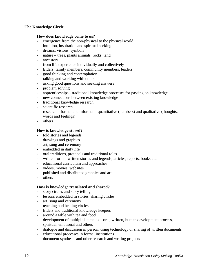#### **The Knowledge Circle**

#### **How does knowledge come to us?**

- emergence from the non-physical to the physical world
- intuition, inspiration and spiritual seeking
- dreams, visions, symbols
- nature trees, plants animals, rocks, land
- ancestors
- from life experience individually and collectively
- Elders, family members, community members, leaders
- good thinking and contemplation
- talking and working with others
- asking good questions and seeking answers
- problem solving
- apprenticeships traditional knowledge processes for passing on knowledge
- new connections between existing knowledge
- traditional knowledge research
- scientific research
- research formal and informal quantitative (numbers) and qualitative (thoughts, words and feelings)
- others

#### **How is knowledge stored?**

- told stories and legends
- drawings and graphics
- art, song and ceremony
- embedded in daily life
- oral traditions, protocols and traditional roles
- written form written stories and legends, articles, reports, books etc.
- educational curriculum and approaches
- videos, movies, websites
- published and distributed graphics and art
- others

#### **How is knowledge translated and shared?**

- story circles and story telling
- lessons embedded in stories, sharing circles
- art, song and ceremony
- teaching and healing circles
- Elders and traditional knowledge keepers
- around a table with tea and food
- development of multiple literacies oral, written, human development process, spiritual, emotional and others
- dialogue and discussion in person, using technology or sharing of written documents
- educational processes in formal institutions
- document synthesis and other research and writing projects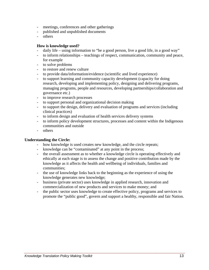- meetings, conferences and other gatherings
- published and unpublished documents
- others

#### **How is knowledge used?**

- daily life using information to "be a good person, live a good life, in a good way"
- to inform relationships teachings of respect, communication, community and peace, for example
- to solve problems
- to restore and renew culture
- to provide data/information/evidence (scientific and lived experience)
- to support learning and community capacity development (capacity for doing research, developing and implementing policy, designing and delivering programs, managing programs, people and resources, developing partnerships/collaboration and governance etc.)
- to improve research processes
- to support personal and organizational decision making
- to support the design, delivery and evaluation of programs and services (including clinical practices)
- to inform design and evaluation of health services delivery systems
- to inform policy development structures, processes and content within the Indigenous communities and outside
- others

#### **Understanding the Circle:**

- how knowledge is used creates new knowledge, and the circle repeats;
- knowledge can be "contaminated" at any point in the process;
- the overall assessment as to whether a knowledge circle is operating effectively and ethically at each stage is to assess the change and positive contribution made by the knowledge as it affects the health and wellbeing of individuals, families and communities;
- the use of knowledge links back to the beginning as the experience of using the knowledge generates new knowledge;
- business (private sector) uses knowledge in applied research, innovation and commercialization of new products and services to make money; and
- the public sector uses knowledge to create effective policy, programs and services to promote the "public good", govern and support a healthy, responsible and fair Nation.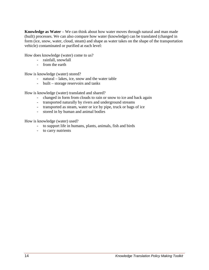**Knowledge as Water** – We can think about how water moves through natural and man made (built) processes. We can also compare how water (knowledge) can be translated (changed in form (ice, snow, water, cloud, steam) and shape as water takes on the shape of the transportation vehicle) contaminated or purified at each level:

How does knowledge (water) come to us?

- rainfall, snowfall
- from the earth

How is knowledge (water) stored?

- natural lakes, ice, snow and the water table
- built storage reservoirs and tanks

How is knowledge (water) translated and shared?

- changed in form from clouds to rain or snow to ice and back again
- transported naturally by rivers and underground streams
- transported as steam, water or ice by pipe, truck or bags of ice
- stored in by human and animal bodies

How is knowledge (water) used?

- to support life in humans, plants, animals, fish and birds
- to carry nutrients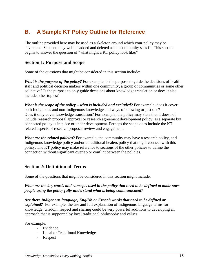# **B. A Sample KT Policy Outline for Reference**

The outline provided here may be used as a skeleton around which your policy may be developed. Sections may well be added and deleted as the community sees fit. This section begins to answer the question of "what might a KT policy look like?"

### **Section 1: Purpose and Scope**

Some of the questions that might be considered in this section include:

*What is the purpose of the policy?* For example, is the purpose to guide the decisions of health staff and political decision makers within one community, a group of communities or some other collective? Is the purpose to only guide decisions about knowledge translation or does it also include other topics?

*What is the scope of the policy – what is included and excluded?* For example, does it cover both Indigenous and non-Indigenous knowledge and ways of knowing or just one? Does it only cover knowledge translation? For example, the policy may state that it does not include research proposal approval or research agreement development policy, as a separate but connected policy is in place or under development. Perhaps the scope does include the KT related aspects of research proposal review and engagement.

*What are the related policies?* For example, the community may have a research policy, and Indigenous knowledge policy and/or a traditional healers policy that might connect with this policy. The KT policy may make reference to sections of the other policies to define the connection without significant overlap or conflict between the policies.

## **Section 2: Definition of Terms**

Some of the questions that might be considered in this section might include:

#### *What are the key words and concepts used in the policy that need to be defined to make sure people using the policy fully understand what is being communicated?*

*Are there Indigenous language, English or French words that need to be defined or explained?* For example, the use and full explanation of Indigenous language terms for knowledge, wisdom, respect and sharing could be very powerful additions to developing an approach that is supported by local traditional philosophy and values.

For example:

- Evidence
- Local or Traditional Knowledge
- Respect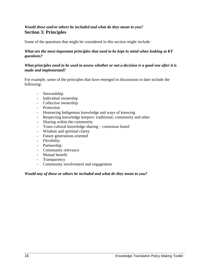### *Would these and/or others be included and what do they mean to you?*  **Section 3: Principles**

Some of the questions that might be considered in this section might include:

#### *What are the most important principles that need to be kept in mind when looking at KT questions?*

#### *What principles need to be used to assess whether or not a decision is a good one after it is made and implemented?*

For example, some of the principles that have emerged in discussions to date include the following:

- Stewardship
- Individual ownership
- Collective ownership
- Protection
- Honouring Indigenous knowledge and ways of knowing
- Respecting knowledge keepers: traditional, community and other
- Sharing within the community
- Trans-cultural knowledge sharing consensus based
- Wisdom and spiritual clarity
- Future generations oriented
- Flexibility
- Partnership
- Community relevance
- Mutual benefit
- Transparency
- Community involvement and engagement

#### *Would any of these or others be included and what do they mean to you?*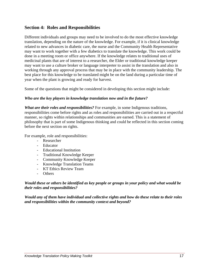## **Section 4: Roles and Responsibilities**

Different individuals and groups may need to be involved to do the most effective knowledge translation, depending on the nature of the knowledge. For example, if it is clinical knowledge related to new advances in diabetic care, the nurse and the Community Health Representative may want to work together with a few diabetics to translate the knowledge. This work could be done in a meeting room or office anywhere. If the knowledge relates to traditional uses of medicinal plants that are of interest to a researcher, the Elder or traditional knowledge keeper may want to use a culture broker or language interpreter to assist in the translation and also in working through any approval process that may be in place with the community leadership. The best place for this knowledge to be translated might be on the land during a particular time of year when the plant is growing and ready for harvest.

Some of the questions that might be considered in developing this section might include:

#### *Who are the key players in knowledge translation now and in the future?*

*What are their roles and responsibilities?* For example, in some Indigenous traditions, responsibilities come before rights and as roles and responsibilities are carried out in a respectful manner, so rights within relationships and communities are earned. This is a statement of philosophy that is part of some Indigenous thinking and could be reflected in this section coming before the next section on rights.

For example, role and responsibilities:

- Researcher
- Educator
- Educational Institution
- Traditional Knowledge Keeper
- Community Knowledge Keeper
- Knowledge Translation Teams
- KT Ethics Review Team
- Others

#### *Would these or others be identified as key people or groups in your policy and what would be their roles and responsibilities?*

*Would any of them have individual and collective rights and how do these relate to their roles and responsibilities within the community context and beyond?*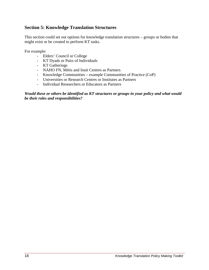# **Section 5: Knowledge Translation Structures**

This section could set out options for knowledge translation structures – groups or bodies that might exist or be created to perform KT tasks.

For example:

- Elders' Council or College
- KT Dyads or Pairs of Individuals
- KT Gatherings
- NAHO FN, Métis and Inuit Centres as Partners
- Knowledge Communities example Communities of Practice (CoP)
- Universities or Research Centres or Institutes as Partners
- Individual Researchers or Educators as Partners

#### *Would these or others be identified as KT structures or groups in your policy and what would be their roles and responsibilities?*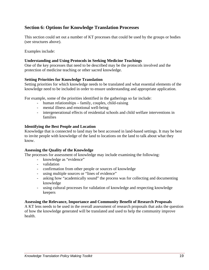# **Section 6: Options for Knowledge Translation Processes**

This section could set out a number of KT processes that could be used by the groups or bodies (see structures above).

Examples include:

#### **Understanding and Using Protocols in Seeking Medicine Teachings**

One of the key processes that need to be described may be the protocols involved and the protection of medicine teaching or other sacred knowledge.

#### **Setting Priorities for Knowledge Translation**

Setting priorities for which knowledge needs to be translated and what essential elements of the knowledge need to be included in order to ensure understanding and appropriate application.

For example, some of the priorities identified in the gatherings so far include:

- human relationships family, couples, child-raising
- mental illness and emotional well-being
- intergenerational effects of residential schools and child welfare interventions in families

#### **Identifying the Best People and Location**

Knowledge that is connected to land may be best accessed in land-based settings. It may be best to invite people with knowledge of the land to locations on the land to talk about what they know.

#### **Assessing the Quality of the Knowledge**

The processes for assessment of knowledge may include examining the following:

- knowledge as "evidence"
- validation
- confirmation from other people or sources of knowledge
- using multiple sources or "lines of evidence"
- asking how "academically sound" the process was for collecting and documenting knowledge
- using cultural processes for validation of knowledge and respecting knowledge keepers

#### **Assessing the Relevance, Importance and Community Benefit of Research Proposals**

A KT lens needs to be used in the overall assessment of research proposals that asks the question of how the knowledge generated will be translated and used to help the community improve health.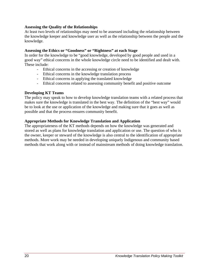#### **Assessing the Quality of the Relationships**

At least two levels of relationships may need to be assessed including the relationship between the knowledge keeper and knowledge user as well as the relationship between the people and the knowledge.

#### **Assessing the Ethics or "Goodness" or "Rightness" at each Stage**

In order for the knowledge to be "good knowledge, developed by good people and used in a good way" ethical concerns in the whole knowledge circle need to be identified and dealt with. These include:

- Ethical concerns in the accessing or creation of knowledge
- Ethical concerns in the knowledge translation process
- Ethical concerns in applying the translated knowledge
- Ethical concerns related to assessing community benefit and positive outcome

#### **Developing KT Teams**

The policy may speak to how to develop knowledge translation teams with a related process that makes sure the knowledge is translated in the best way. The definition of the "best way" would be to look at the use or application of the knowledge and making sure that it goes as well as possible and that the process ensures community benefit.

#### **Appropriate Methods for Knowledge Translation and Application**

The appropriateness of the KT methods depends on how the knowledge was generated and stored as well as plans for knowledge translation and application or use. The question of who is the owner, keeper or steward of the knowledge is also central to the identification of appropriate methods. More work may be needed in developing uniquely Indigenous and community based methods that work along with or instead of mainstream methods of doing knowledge translation.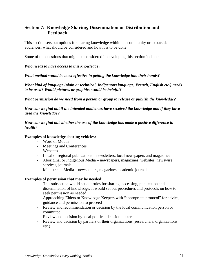# **Section 7: Knowledge Sharing, Dissemination or Distribution and Feedback**

This section sets out options for sharing knowledge within the community or to outside audiences, what should be considered and how it is to be done.

Some of the questions that might be considered in developing this section include:

#### *Who needs to have access to this knowledge?*

*What method would be most effective in getting the knowledge into their hands?* 

*What kind of language (plain or technical, Indigenous language, French, English etc.) needs to be used? Would pictures or graphics would be helpful?* 

*What permission do we need from a person or group to release or publish the knowledge?* 

*How can we find out if the intended audiences have received the knowledge and if they have used the knowledge?* 

*How can we find out whether the use of the knowledge has made a positive difference in health?* 

#### **Examples of knowledge sharing vehicles:**

- Word of Mouth
- Meetings and Conferences
- Websites
- Local or regional publications newsletters, local newspapers and magazines
- Aboriginal or Indigenous Media newspapers, magazines, websites, newswire services, journals
- Mainstream Media newspapers, magazines, academic journals

#### **Examples of permission that may be needed:**

- This subsection would set out rules for sharing, accessing, publication and dissemination of knowledge. It would set out procedures and protocols on how to seek permission as needed
- Approaching Elders or Knowledge Keepers with "appropriate protocol" for advice, guidance and permission to proceed
- Review and recommendation or decision by the local communication person or committee
- Review and decision by local political decision makers
- Review and decision by partners or their organizations (researchers, organizations etc.)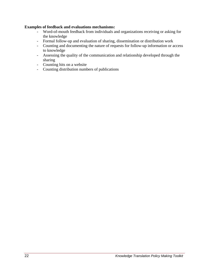#### **Examples of feedback and evaluations mechanisms:**

- Word-of-mouth feedback from individuals and organizations receiving or asking for the knowledge
- Formal follow-up and evaluation of sharing, dissemination or distribution work
- Counting and documenting the nature of requests for follow-up information or access to knowledge
- Assessing the quality of the communication and relationship developed through the sharing
- Counting hits on a website
- Counting distribution numbers of publications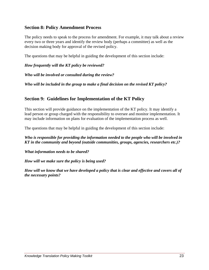## **Section 8: Policy Amendment Process**

The policy needs to speak to the process for amendment. For example, it may talk about a review every two or three years and identify the review body (perhaps a committee) as well as the decision making body for approval of the revised policy.

The questions that may be helpful in guiding the development of this section include:

*How frequently will the KT policy be reviewed?* 

*Who will be involved or consulted during the review?* 

*Who will be included in the group to make a final decision on the revised KT policy?* 

# **Section 9: Guidelines for Implementation of the KT Policy**

This section will provide guidance on the implementation of the KT policy. It may identify a lead person or group charged with the responsibility to oversee and monitor implementation. It may include information on plans for evaluation of the implementation process as well.

The questions that may be helpful in guiding the development of this section include:

*Who is responsible for providing the information needed to the people who will be involved in KT in the community and beyond (outside communities, groups, agencies, researchers etc.)?* 

*What information needs to be shared?* 

*How will we make sure the policy is being used?* 

*How will we know that we have developed a policy that is clear and effective and covers all of the necessary points?*